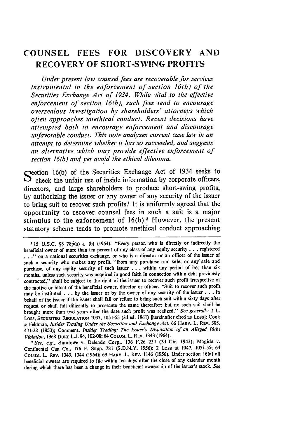## **COUNSEL FEES FOR DISCOVERY AND RECOVERY OF SHORT-SWING PROFITS**

*Under present law counsel fees are recoverable jbr services instrumental in the enfbrcenent of section 16(b) of the Securities Exchange Act of 1934. While vital to the eJj'ctive eni'breement of section 16(b), such fees tend to encourage overzealous investigation by shareholders' attorneys which often approaches unethical conduct. Recent decisions have attempted both to encourage enjbrcemnent and discourage unflvorable conduct. This note analyzes current case law in an attempt to determine whether it has so succeeded, and suggests an alternative which may provide ejjeetive enjbrcement of section 16(b) and* **Yet** *avoid the ethical dilemma.*

Section 16(b) of the Securities Exchange Act of 1934 seeks to  $\sum$  check the unfair use of inside information by corporate officers, directors, and large shareholders to produce short-swing profits, **by** authorizing the issuer or any owner of any security of the issuer to bring suit to recover such profits.' It is uniformly agreed that the opportunity to recover counsel fees in such a suit is a major stimulus to the enforcement of  $16(b)$ .<sup>2</sup> However, the present statutory scheme tends to promote unethical conduct approaching

*'15* **U.S.C.** §§ 78p(a) **& (b)** (1964): "'Every person who is directly or indirectly the beneficial owner of more than ten percent of any class of any equity security **...** registered **.."** on a national securities exchange, or who is a director or an officer of the issuer of such a security who makes any profit "from any purchase and sale, or any sale and purchase. of any equity security of such issuer . . . within any period of less than six months, unless such security was acquired in good faith in connection with a debt previously contracted," shall be subject to the right of the issuer to recover such profit irrespective of the motive or intent of the beneficial owner, director or officer. "Suit to recover such profit may be instituted **...** by the issuer or by the owner of any security of the issuer **...** in behalf of the issuer if the issuer shall fail or refuse to bring such suit within sixty days after request or shall fail diligently to prosecute the same thereafter; but no such suit shall be brought more than **two** years after the date such profit was realized." *See generally* 2 L. Loss. **SECURITIEs REGULATioN' 1037,** 1051-55 **(2d** ed. 1961) [hereinafter cited as Loss]; Cook **&** Feldman, *Insider Trading Under the Securities and Exchange Act.* 66 **HARV.** L. REv. 385, 421-22 **(1953);** Comment, *Insider Trading: The Issuer's Disposition of an Alleged* **16(b)** *Violation.* 1968 **DUKE** L.J. 94. i02-08; 64 COLU.%. L. REv. 1343 (1964).

*1-See. e.g..* Smolowe v. Delendo Corp.. **136** F.2d 231 **(2d** Cir. 1943); Magida v. Continental Can Co., 176 F. Supp. 781 (S.D.N.Y. 1956); 2 Loss at 1042, 1051-55; 64 COLUM. L. REV. 1343, 1344 (1964); 69 HARV. L. REV. 1146 (1956). Under section 16(a) all beneficial owners are required to file within ten days after the close of any calendar month during which there has been a change in their beneficial ownership of the issuer's stock. *See*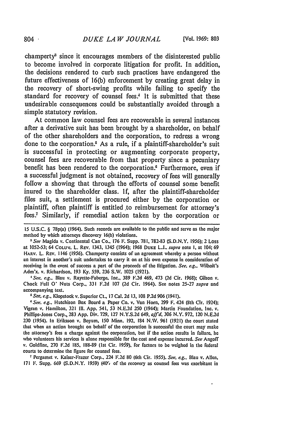champerty<sup>3</sup> since it encourages members of the disinterested public to become involved in corporate litigation for profit. In addition, the decisions rendered to curb such practices have endangered the future effectiveness of 16(b) enforcement by creating great delay in the recovery of short-swing profits while failing to specify the standard for recovery of counsel fees.<sup>4</sup> It is submitted that these undesirable consequences could be substantially avoided through a simple statutory revision.

At common law counsel fees are recoverable in several instances after a derivative suit has been brought by a shareholder, on behalf of the other shareholders and the corporation, to redress a wrong done to the corporation.<sup>5</sup> As a rule, if a plaintiff-shareholder's suit is successful in protecting or augmenting corporate property, counsel fees are recoverable from that property since a pecuniary benefit has been rendered to the corporation.<sup>6</sup> Furthermore, even if a successful judgment is not obtained, recovery of fees will generally follow a showing that through the efforts of counsel some benefit inured to the shareholder class. If, after the plaintiff-shareholder files suit, a settlement is procured either by the corporation or plaintiff, often plaintiff is entitled .to reimbursement for attorney's fees. Similarly, if remedial action taken by the corporation or

*-See* Magida v. Continental Can Co., 176 F. Supp. 781, 782-83 (S.D.N.Y. 1956); 2 Loss at 1052-53; 64 COLUM. L. REv. 1343, 1345 (1964); 1968 DuKE **L.J..** *supra* note **I,** at 104; 69 **HARV. L.** REv. 1146 (1956). Champerty consists of an agreement whereby a person without an interest in another's suit undertakes to carry it on at his own expense in consideration of receiving in the event of success a part of the proceeds of the litigation. *See. e.g..* Wilhoit's Adm'x. v. Richardson, 193 Ky. 559, **236** S.W. 1025 (1921).

*1 See. e.g..* Blau v. Rayette-Faberge, Inc., 389 F.2d 469, 473 **(2d** Cir. 1968); Gilson v. Chock Full **0'** Nuts Corp., 331 F.2d 107 **(2d** Cir. 1964). See notes 25-27 *supra* and accompanying text.

*I See. e.g.,* Klopstock v. Superior Ct., 17 Cal. 2d **13, 108** P.2d **906** (194 **1).**

*'See. e.g..* Hutchison Box Board **&** Paper Co. v. Van Horn, 299 F. 424 (8th Cir. 1924); Vigran v. Hamilton. 321 Iii. App. 541, 53 N.E.2d 250 (1944); Martin Foundation, Inc. v. Phillips-Jones Corp., 283 App. Div. 729, 127 N.Y.S.2d 649, *affd,* 306 N.Y. 972, 120 N.E.2d 230 (1954). In Eriksson v. Boyum, 150 Minn. 192, 184 N.W. 961 (1921) the court stated that when an action brought on behalf of the corporation is successful the court may make the attorney's fees a charge against the corporation, but if the action results in failure, he who volunteers his services is alone responsible for the cost and expense incurred. *See* Angoff v. Goldfine. 270 F.2d 185. 188-89 (Ist Cir. **1969),** for factors to be weighed in the federal courts to determine the figure for counsel fees.

**-** Pergamet v. Kaiser-Frazer Corp., 224 F.2d 80 (6th Cir. 1955). *See. e.g..* Blau v. Allen, 171 F. Supp.. 669 (S.D.N.Y. 1959) (40r, of the recovery as counsel fees was exorbitant in

804 **"**

<sup>15</sup> **U.S.C.** § 78p(a) (1964). Such records are available to the public and serve as the major method **by** which attorneys discovery **16(b)** violations.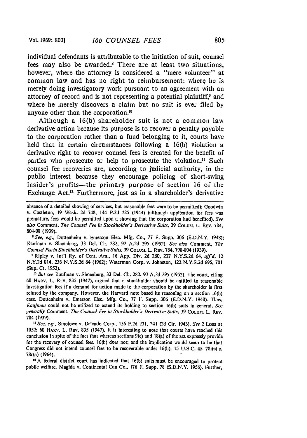individual defendants is attributable to the initiation of suit, counsel fees may also be awarded.<sup>8</sup> There are at least two situations, however, where the attorney is considered a "mere volunteer" at common law and has no right to reimbursement: where he is merely doing investigatory work pursuant to an agreement with an attorney of record and is not representing a potential plaintiff.<sup>9</sup> and where he merely discovers a claim but no suit is ever filed **by** anyone other than the corporation."'

Although a **16(b)** shareholder suit is not a common law derivative action because its purpose is to recover a penalty payable to the corporation rather than a fund belonging to it, courts have held that in certain circumstances following a **16(b)** violation a derivative right to recover counsel fees is created for the benefit of parties who prosecute or help to prosecute the violation." Such counsel fee recoveries are, according to judicial authority, in the public interest because they encourage policing of short-swing insider's profits—the primary purpose of section 16 of the Exchange Act.<sup>12</sup> Furthermore, just as in a shareholder's derivative

**SSee,** *e.g.,* Dottenheim v. Emerson Elec. **Mfg.** Co., **77** F. Supp. **306 (E.D.N.Y.** 1948); KauFman v. Shoenberg, **33** Del. **Ch.** 282, **92 A.2d 295 (1952).** *See also* Comment, **The** *Counsel Fee in Stockholder's Derivative Suits.* **39 COLU.** L. REv. **784, 798-804 (1939).**

'Ripley v. Int'l Ry. of Cent. Am., **16 App.** Div. **2d 260, 227 N.Y.S.2d** 64, *ajfd.* 12 **N.Y.2d** 814, **236 N.Y.S.2d** 64 **(1962);** Waterman Corp. v. Johnston, 122 **N.Y.S.2d 695, 701 (Sup. Ct. 1953).**

*11 But see* Kaufman v. Shoenberg, **33 Del. Ch.** 282, **92 A.2d 295 (1952).** The court, citing **60** HARv. L. REv. **835** (1947). argued that a stockholder should be entitled to reasonable investigation fees if a demand for action made to the corporation **by** the shareholder is first refused **by** the company. However, the Harvard note based its reasoning on a section **16(b)** case, Dottenheim v. Emerson Elec. **Mfg.** Co., **77** F. Supp. **306 (E.D.N.Y.** 1948). Thus, *Kaufnan* could not be utilized to extend its holding to section **16(b)** suits in general. *See generally* Comment, *The Counsel Fee in Stockholders Derivative Suits.* **39 COLU.L** L. REV. 784 **(1939).**

*"See. eag..* Smolowe v. Delendo Corp., **136 F.2d 231, 241 (2d** Cir. 1943). *See* 2 Loss at **1052;** 60 HARv. L. Rev. **835** (1947). It is interesting to note that courts have reached this conclusion in spite of the fact that whereas sections 9(e) and 18(a) of the act expressly provide for the recovery oF counsel fees, **16(b)** does not; and the implication would seem to **be** that Congress did not intend counsel fees to be recoverable under **16(b). 15 U.S.C.** §§ 78i(e) **&** 78r(a) (1964).

<sup>12</sup> A federal district court has indicated that 16(b) suits must be encouraged to protect public welfare. Magida v. Continental Can Co, **176** F. Supp. **78 (S.D.N.Y. 1956).** Further,

absence of a detailed showing of services, but reasonable fees were to be permitted); Goodwin v. Castleton, **19** Wash. **2d 748,** 144 **P.2d 725** (1944) (although application for fees was premature, fees would be permitted upon a showing that the corporation had benefited). *See also* Comment, *The Counsel Fee in* Stockholder's *Derivative Suits.* **39 COLUM.** L. REv. 784, 804-08 **(1939).**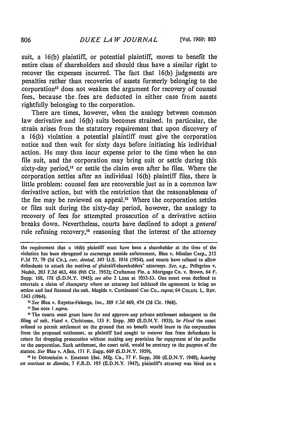suit, a 16(b) plaintiff, or potential plaintiff, moves to benefit the entire class of shareholders and should thus have a similar right to recover the expenses incurred. The fact that 16(b) judgments are penalties rather than recoveries of assets formerly belonging to the corporation<sup>13</sup> does not weaken the argument for recovery of counsel fees, because the. fees are deducted in either case from assets rightfully belonging to the corporation.

There are times, however, when the analogy between common law derivative and 16(b) suits becomes strained. In particular, the strain arises from the statutory requirement that upon discovery of a 16(b) violation a potential plaintiff must give the corporation notice and then wait for sixty days before initiating his individual action. He may thus incur expense prior to the time when he can file suit, and the corporation may bring suit or settle during this sixty-day period.<sup>14</sup> or settle the claim even after he files. Where the corporation settles after an individual 16(b) plaintiff files, there is little problem: counsel fees are recoverable just as in a common law derivative action, but with the restriction that the reasonableness of the fee may be reviewed on appeal." Where the corporation settles or files suit during the sixty-day period, however, the analogy to recovery of fees for attempted prosecution of a derivative action breaks down. Nevertheless, courts have declined to adopt a *general* rule refusing recovery,<sup>16</sup> reasoning that the interest of the attorney

**\*** See note I *supra.*

the requirement that a 16(b) plaintiff must have been a shareholder at the time of the violation has been abrogated to encourage outside enforcement. Blau v. Mission Corp., 212 F.2d **77,** 79 **(2d** Cir.). ceri. *denied.* 347 U.S. 1016 (1954). and courts have refused to allow defendants to attack the motives of plaintiff-shareholders' attorneys. *See. e.g..* Pellegrino v. Nesbit, 203 F.2d 463, 466 (9th Cir. 1953); Craftsman Fin. **&** Mortgage Co. v. Brown, 64 F. Supp. 168. 178 (S.D.N.Y. 1945); *see also* 2 Loss at 1052-53. One court even declined to entertain a claim of champerty where an attorney had initiated the agreement to bring an action and had financed the suit. Magida v. Continental Can Co., *supra*; 64 COLUM. L. REV. 1343 (1964).

*<sup>&#</sup>x27;-See* Blau v. Rayette-Faberge, Inc.. 389 F.2d 469, 474 **(2d** Cir. 1968).

<sup>&</sup>lt;sup>13</sup> The courts must grant leave for and approve any private settlement subsequent to the filing of suit. Fistel v. Christman, 133 F. Supp. 300 (S.D.N.Y. 1955). In *Fistel* the court refused to permit settlement on the ground that no benefit would inure to the corporation from the proposed settlement, as plaintiff had sought to recover fees from defendants in return for dropping prosecution without making any provision for repayment of the profits to the corporation. Such settlement, the court said, would be contrary to the purpose of the statute. *See* Blau v. Allen, 171 F. Supp. 669 (S.D.N.Y. 1959).

<sup>&</sup>lt;sup>16</sup> In Dottenheim v. Emerson Elec. Mfg. Co., 77 F. Supp. 306 (E.D.N.Y. 1948), *hearing on motions to dismiss,* 7 F.R.D. **195** (E.D.N.Y. 1947), plaintiff's attorney was hired on a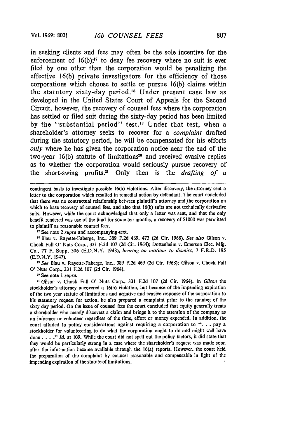in seeking clients and fees may often be the sole incentive for the enforcement of  $16(b)$ ;<sup>17</sup> to deny fee recovery where no suit is ever filed by one other than the corporation would be penalizing the effective 16(b) private investigators for the efficiency of those corporations which choose to settle or pursue 16(b) claims within the statutory sixty-day period.<sup>18</sup> Under present case law as developed in the United States Court of Appeals for the Second Circuit, however, the recovery of counsel fees where the corporation has settled or filed suit during the sixty-day period has been limited by the "substantial period" test.<sup>19</sup> Under that test, when a shareholder's attorney seeks to recover for a *complaint* drafted during the statutory period, he will be compensated for his efforts *only* where he has given the corporation notice near the end of the two-year  $16(b)$  statute of limitations<sup>20</sup> and received evasive replies as to whether the corporation would seriously pursue recovery of the short-swing profits.<sup>21</sup> Only then is the *drafting of a* 

contingent basis to investigate possible 16(b) violations. After discovery, the attorney sent a letter to the corporation which resulted in remedial action by defendant. The court concluded that there was no contractual relationship between plaintiff's attorney and the corporation on which to base recovery of counsel fees, and also that 16(b) suits are not technically derivative suits. However, while the court acknowledged that only a letter was sent, and that the only benefit rendered was use of the fund for some ten months, a recovery of S1000 was permitted to plaintiff as reasonable counsel fees.

"See note 2 *supra* and accompanying .text.

' Blau v. Rayette-Faberge, Inc., 389 F.2d 469, 473 (2d Cir. 1968). *See also* Gilson v. Chock Full **0'** Nuts Corp., 331 F.2d 107 **(2d** Cir. 1964); Dottenheim v. Emerson Elec. Mfg. Co., 77 F. Supp. **306 (E.D.N.Y.** 1948), *hearing on motions to dismiss.* 7 F.R.D. **195 (E.D.N.Y.** 1947).

*"See* Blau v. Rayette-Faberge, Inc., **389 F.2d** 469 **(2d** Cir. **1968);** Gilson v. Chock Full **0'** Nuts Corp., **331 F.2d 107 (2d** Cir. 1964).

' See note *I supra.*

Gilson v. Chock Full **0'** Nuts Corp., **331 F.2d 107 (2d** Cir. 1964). In *Gilson* the stockholder's attorney uncovered a **16(b)** violation, but because of the impending expiration of the two year statute of limitations and negative and evasive response of the corporation to his statutory request for action, he also prepared a complaint prior to the running of the sixty day period. On the issue of counsel fees the court concluded that equity generally treats a shareholder who merely discovers a claim and brings it to the attention of the company as an informer or volunteer regardless of the time, effort or money expended. In addition, the court alluded to policy considerations against requiring a corporation to **". .** . pay a stockholder for volunteeering to do what the corporation ought to do and might well have done. **...** *Id.* at 109. While the court did not spell out the policy factors, it did state that they would be particularly strong in a case where the shareholder's request was made soon after the information became available through the 16(a) reports. However. the court held the preparation of the complaint by counsel reasonable and compensable in light of the impending expiration of the statute of limitations.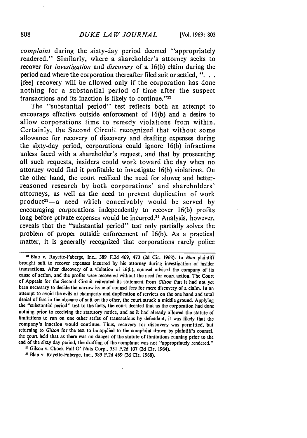*complaint* during the sixty-day period deemed "appropriately rendered." Similarly, where a shareholder's attorney seeks to recover for *investigation* and *discovery"* of a 16(b) claim during the period and where the corporation thereafter filed suit or settled, **"...** [fee] recovery will be allowed only if the corporation has done nothing for a substantial period of time after the suspect transactions and its inaction is likely to continue.<sup> $"22$ </sup>

The "substantial period" test reflects both an attempt to encourage effective outside enforcement of 16(b) and a desire to allow corporations time to remedy violations from within. Certainly, the Second Circuit recognized that without some allowance for recovery of discovery and drafting expenses during the sixty-day period, corporations could ignore 16(b) infractions unless faced with a shareholder's request, and that by prosecuting all such requests, insiders could work toward the day when no attorney would find it profitable to investigate 16(b) violations. On the other hand, the court realized the need for slower and betterreasoned research by both corporations' and shareholders' attorneys, as well as the need to prevent duplication of work product<sup>23</sup> - a need which conceivably would be served by encouraging corporations independently to recover 16(b) profits long before private expenses would be incurred.<sup>24</sup> Analysis, however, reveals that the "substantial period" test only partially solves the problem of proper outside enforcement of 16(b). As a practical matter, it is generally recognized that corporations rarely police

<sup>22</sup> Blau v. Rayette-Faberge, Inc., **389 F.2d** 469, 473 **(2d Cir. 1968).** In Blau plaintiff brought suit to recover expenses incurred **by** his attorney during investigation of insider transactions. After discovery of a violation of 16(b), counsel advised the company of its cause of action, and the profits were recovered without the need for court action. The Court of Appeals for the Second Circuit reiterated its statement from Gilson that it had not yet been necessary to decide the narrow issue of counsel fees for mere discovery of a claim. In an attempt to avoid the evils of champerty and duplication of services on the one hand and total denial of fees in the absence of suit on the other, the court struck a middle ground. Applying the "'substantial period" test to the facts, the court decided that as the corporation had done nothing prior to receiving the statutory notice, and as it had already allowed the statute of limitations to run on one other series of transactions by defendant, it was likely that the company's inaction would continue. Thus, recovery for discovery was permitted, but returning to *Gilson* for the test to be applied to the complaint drawn **by** plaintiff's counsel, the court held that as there was no danger of the statute of limitations running prior to the end of the sixty day period, the drafting of the complaint was not "appropriately rendered."

**<sup>I</sup>**Gilson v. Chock Full **0'** Nuts Corp., **331** F.2d 107 **(2d** Cir. 1964). *-.* Blau v. Rayette-Faberge, Inc., 389 F.2d 469 **(2d** Cir. 1968).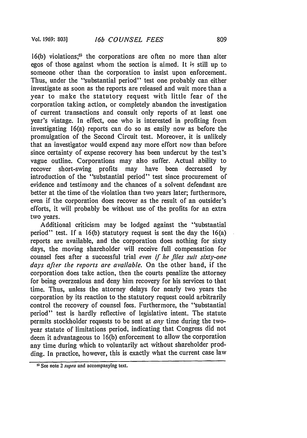**16(b)** violations,2' the corporations are often no more than alter egos of those against whom the section is aimed. It is still up to someone other than the corporation to insist upon enforcement. Thus, under the "substantial period" test one probably can either investigate as soon as the reports are released and wait more than a year to make the statutory request with little fear of the corporation taking action, or completely abandon the investigation of current transactions and consult only reports of at least one year's vintage. In effect, one who is interested in profiting from investigating 16(a) reports can do so as easily now as before the promulgation of the Second Circuit test. Moreover, it is unlikely that an investigator would expend any more effort now than before since certainty of expense recovery has been undercut by the test's vague outline. Corporations may also suffer. Actual ability to recover short-swing profits may have been decreased by introduction of the "substantial period" test since procurement of evidence and testimony and the chances of a solvent defendant are better at the time of the violation than two years later; furthermore, even if the corporation does recover as the result of an outsider's efforts, it will probably be without use of the profits for an extra two years.

Additional criticism may be lodged against the "substantial period" test. If a 16(b) statutory request is sent the day the 16(a) reports are available, and the corporation does nothing for sixty days, the moving shareholder will receive full compensation for counsel fees after a successful trial *even if he files suit sixty-one days after the reports are available.* On the other hand, if the corporation does take action, then the courts penalize the attorney for being overzealous and deny him recovery for his services to that time. Thus, unless the attorney delays for nearly two years the corporation by its reaction to the statutory request could arbitrarily control the recovery of counsel fees. Furthermore, the "substantial period" test is hardly reflective of legislative intent. The statute permits stockholder requests to be sent at *any-* time during the twoyear statute of limitations period, indicating that Congress did not deem it advantageous to 16(b) enforcement to allow the corporation any time during which to voluntarily act without shareholder prodding. In practice, however, this is exactly what the current case law

<sup>&</sup>lt;sup>25</sup> See note 2 *supra* and accompanying text.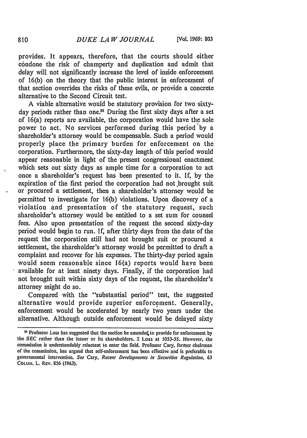provides. It appears, therefore, that the courts should either condone the risk of champerty and duplication and admit that delay will not significantly increase the level of inside enforcement of 16(b) on the theory that the public interest in enforcement of that section overrides the risks of these evils, or provide a concrete alternative to the Second Circuit test.

A viable alternative would be statutory provision for two sixtyday periods rather than one.<sup>26</sup> During the first sixty days after a set of 16(a) reports are available, the corporation would have the sole power to act. No services performed during this period by a shareholder's attorney would be compensable. Such a period would properly place the primary burden for enforcement on the corporation. Furthermore, the sixty-day length of this period would appear reasonable in light of the present congressional enactment which sets out sixty days as ample time for a corporation to act once a shareholder's request has been presented to it. If, by the expiration of the first period the corporation had not brought suit or procured a settlement, then a shareholder's attorney would be permitted to investigate for 16(b) violations. Upon discovery of a violation and presentation of the statutory request, such shareholder's attorney would be entitled to a set sum for counsel fees. Also upon presentation of the request the second sixty-day period would begin to run. If, after thirty days from the date of the request the corporation still had not brought suit or procured a settlement, the shareholder's attorney would be permitted to draft a complaint and recover for his expenses. The thirty-day period again would seem reasonable since 16(a) reports would have been available for at least ninety days. Finally, if the corporation had not brought suit within sixty days of the request, the shareholder's attorney might do so.

Compared with the "substantial period" test, the suggested alternative would provide superior enforcement. Generally, enforcement would be accelerated by nearly two years under the alternative. Although outside enforcement would be delayed sixty

<sup>&</sup>lt;sup>25</sup> Professor Loss has suggested that the section be amended to provide for enforcement by the **SEC** rather than the issuer or its shareholders. 2 Loss at 1053-55. However, the commission is understandably reluctant to enter the field. Professor Cary, former chairman of the commission, has argued that self-enforcement has been effective and is preferable to governmental intervention. *See* Cary, *Recent Developments in Securities Regulation.* **63** COLUM. L. REV. 856 (1963).